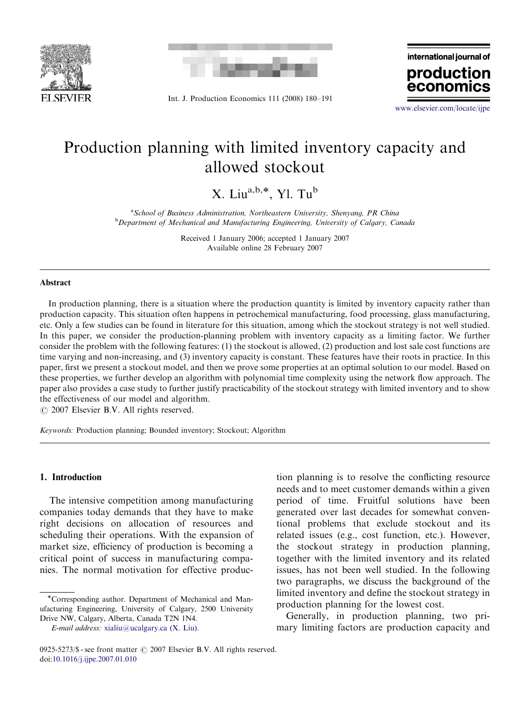



Int. J. Production Economics 111 (2008) 180–191

international journal of production econo

<www.elsevier.com/locate/ijpe>

## Production planning with limited inventory capacity and allowed stockout

X. Liu<sup>a,b,\*</sup>, Yl. Tu<sup>b</sup>

<sup>a</sup> School of Business Administration, Northeastern University, Shenyang, PR China **b** Department of Mechanical and Manufacturing Engineering, University of Calgary, Canada

> Received 1 January 2006; accepted 1 January 2007 Available online 28 February 2007

#### Abstract

In production planning, there is a situation where the production quantity is limited by inventory capacity rather than production capacity. This situation often happens in petrochemical manufacturing, food processing, glass manufacturing, etc. Only a few studies can be found in literature for this situation, among which the stockout strategy is not well studied. In this paper, we consider the production-planning problem with inventory capacity as a limiting factor. We further consider the problem with the following features: (1) the stockout is allowed, (2) production and lost sale cost functions are time varying and non-increasing, and (3) inventory capacity is constant. These features have their roots in practice. In this paper, first we present a stockout model, and then we prove some properties at an optimal solution to our model. Based on these properties, we further develop an algorithm with polynomial time complexity using the network flow approach. The paper also provides a case study to further justify practicability of the stockout strategy with limited inventory and to show the effectiveness of our model and algorithm.

 $Q$  2007 Elsevier B.V. All rights reserved.

Keywords: Production planning; Bounded inventory; Stockout; Algorithm

### 1. Introduction

The intensive competition among manufacturing companies today demands that they have to make right decisions on allocation of resources and scheduling their operations. With the expansion of market size, efficiency of production is becoming a critical point of success in manufacturing companies. The normal motivation for effective production planning is to resolve the conflicting resource needs and to meet customer demands within a given period of time. Fruitful solutions have been generated over last decades for somewhat conventional problems that exclude stockout and its related issues (e.g., cost function, etc.). However, the stockout strategy in production planning, together with the limited inventory and its related issues, has not been well studied. In the following two paragraphs, we discuss the background of the limited inventory and define the stockout strategy in production planning for the lowest cost.

Generally, in production planning, two primary limiting factors are production capacity and

<sup>\*</sup>Corresponding author. Department of Mechanical and Manufacturing Engineering, University of Calgary, 2500 University Drive NW, Calgary, Alberta, Canada T2N 1N4.

 $E$ -mail address: [xialiu@ucalgary.ca \(X. Liu\).](mailto:xialiu@ucalgary.ca)

<sup>0925-5273/\$ -</sup> see front matter  $\odot$  2007 Elsevier B.V. All rights reserved. doi[:10.1016/j.ijpe.2007.01.010](dx.doi.org/10.1016/j.ijpe.2007.01.010)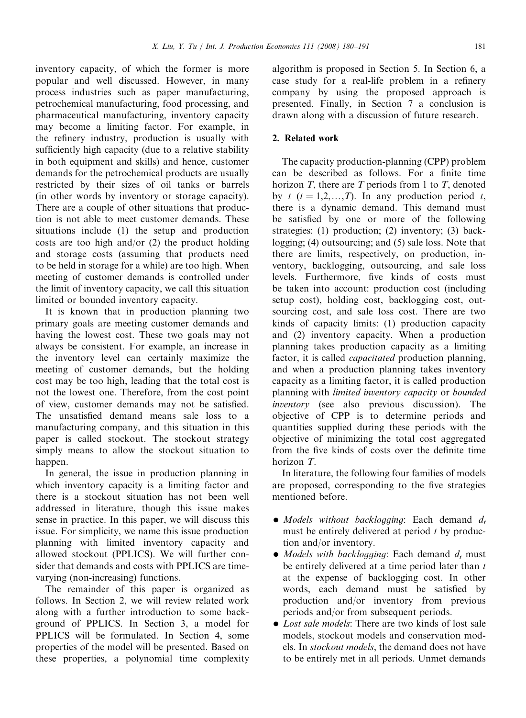inventory capacity, of which the former is more popular and well discussed. However, in many process industries such as paper manufacturing, petrochemical manufacturing, food processing, and pharmaceutical manufacturing, inventory capacity may become a limiting factor. For example, in the refinery industry, production is usually with sufficiently high capacity (due to a relative stability in both equipment and skills) and hence, customer demands for the petrochemical products are usually restricted by their sizes of oil tanks or barrels (in other words by inventory or storage capacity). There are a couple of other situations that production is not able to meet customer demands. These situations include (1) the setup and production costs are too high and/or (2) the product holding and storage costs (assuming that products need to be held in storage for a while) are too high. When meeting of customer demands is controlled under the limit of inventory capacity, we call this situation limited or bounded inventory capacity.

It is known that in production planning two primary goals are meeting customer demands and having the lowest cost. These two goals may not always be consistent. For example, an increase in the inventory level can certainly maximize the meeting of customer demands, but the holding cost may be too high, leading that the total cost is not the lowest one. Therefore, from the cost point of view, customer demands may not be satisfied. The unsatisfied demand means sale loss to a manufacturing company, and this situation in this paper is called stockout. The stockout strategy simply means to allow the stockout situation to happen.

In general, the issue in production planning in which inventory capacity is a limiting factor and there is a stockout situation has not been well addressed in literature, though this issue makes sense in practice. In this paper, we will discuss this issue. For simplicity, we name this issue production planning with limited inventory capacity and allowed stockout (PPLICS). We will further consider that demands and costs with PPLICS are timevarying (non-increasing) functions.

The remainder of this paper is organized as follows. In Section 2, we will review related work along with a further introduction to some background of PPLICS. In Section 3, a model for PPLICS will be formulated. In Section 4, some properties of the model will be presented. Based on these properties, a polynomial time complexity algorithm is proposed in Section 5. In Section 6, a case study for a real-life problem in a refinery company by using the proposed approach is presented. Finally, in Section 7 a conclusion is drawn along with a discussion of future research.

### 2. Related work

The capacity production-planning (CPP) problem can be described as follows. For a finite time horizon  $T$ , there are  $T$  periods from 1 to  $T$ , denoted by t  $(t = 1,2,...,T)$ . In any production period t, there is a dynamic demand. This demand must be satisfied by one or more of the following strategies: (1) production; (2) inventory; (3) backlogging; (4) outsourcing; and (5) sale loss. Note that there are limits, respectively, on production, inventory, backlogging, outsourcing, and sale loss levels. Furthermore, five kinds of costs must be taken into account: production cost (including setup cost), holding cost, backlogging cost, outsourcing cost, and sale loss cost. There are two kinds of capacity limits: (1) production capacity and (2) inventory capacity. When a production planning takes production capacity as a limiting factor, it is called *capacitated* production planning, and when a production planning takes inventory capacity as a limiting factor, it is called production planning with limited inventory capacity or bounded inventory (see also previous discussion). The objective of CPP is to determine periods and quantities supplied during these periods with the objective of minimizing the total cost aggregated from the five kinds of costs over the definite time horizon T.

In literature, the following four families of models are proposed, corresponding to the five strategies mentioned before.

- $\bullet$  Models without backlogging: Each demand  $d_i$ must be entirely delivered at period  $t$  by production and/or inventory.
- Models with backlogging: Each demand  $d_t$  must be entirely delivered at a time period later than  $t$ at the expense of backlogging cost. In other words, each demand must be satisfied by production and/or inventory from previous periods and/or from subsequent periods.
- $\bullet$  Lost sale models: There are two kinds of lost sale models, stockout models and conservation models. In stockout models, the demand does not have to be entirely met in all periods. Unmet demands